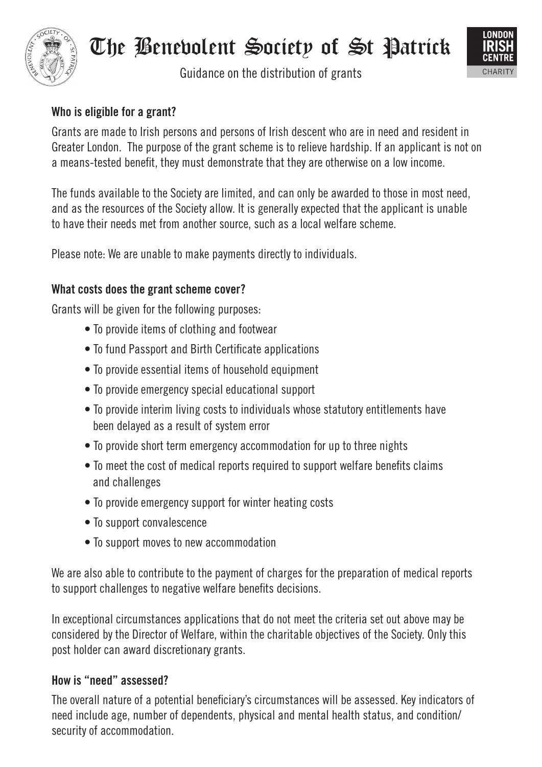

# The Benevolent Society of St Patrick

Guidance on the distribution of grants



## **Who is eligible for a grant?**

Grants are made to Irish persons and persons of Irish descent who are in need and resident in Greater London. The purpose of the grant scheme is to relieve hardship. If an applicant is not on a means-tested benefit, they must demonstrate that they are otherwise on a low income.

The funds available to the Society are limited, and can only be awarded to those in most need, and as the resources of the Society allow. It is generally expected that the applicant is unable to have their needs met from another source, such as a local welfare scheme.

Please note: We are unable to make payments directly to individuals.

## **What costs does the grant scheme cover?**

Grants will be given for the following purposes:

- To provide items of clothing and footwear
- To fund Passport and Birth Certificate applications
- To provide essential items of household equipment
- To provide emergency special educational support
- To provide interim living costs to individuals whose statutory entitlements have been delayed as a result of system error
- To provide short term emergency accommodation for up to three nights
- To meet the cost of medical reports required to support welfare benefits claims and challenges
- To provide emergency support for winter heating costs
- To support convalescence
- To support moves to new accommodation

We are also able to contribute to the payment of charges for the preparation of medical reports to support challenges to negative welfare benefits decisions.

In exceptional circumstances applications that do not meet the criteria set out above may be considered by the Director of Welfare, within the charitable objectives of the Society. Only this post holder can award discretionary grants.

## **How is "need" assessed?**

The overall nature of a potential beneficiary's circumstances will be assessed. Key indicators of need include age, number of dependents, physical and mental health status, and condition/ security of accommodation.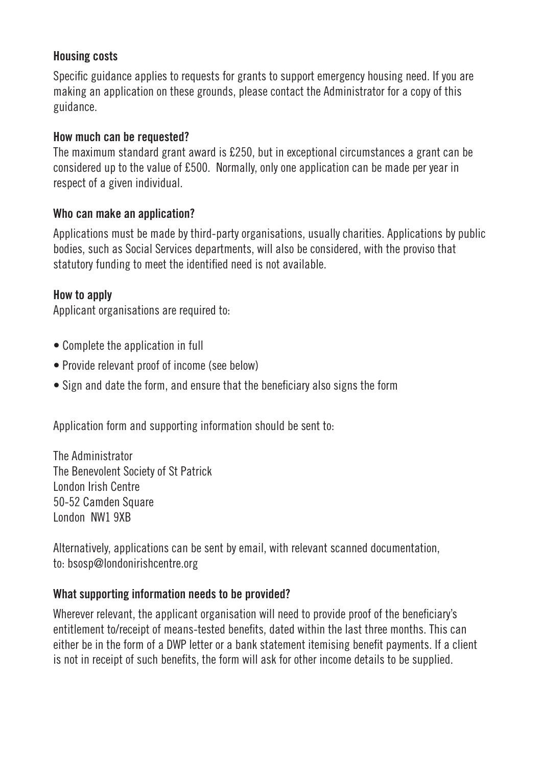#### **Housing costs**

Specific guidance applies to requests for grants to support emergency housing need. If you are making an application on these grounds, please contact the Administrator for a copy of this guidance.

#### **How much can be requested?**

The maximum standard grant award is £250, but in exceptional circumstances a grant can be considered up to the value of £500. Normally, only one application can be made per year in respect of a given individual.

#### **Who can make an application?**

Applications must be made by third-party organisations, usually charities. Applications by public bodies, such as Social Services departments, will also be considered, with the proviso that statutory funding to meet the identified need is not available.

## **How to apply**

Applicant organisations are required to:

- Complete the application in full
- Provide relevant proof of income (see below)
- Sign and date the form, and ensure that the beneficiary also signs the form

Application form and supporting information should be sent to:

The Administrator The Benevolent Society of St Patrick London Irish Centre 50-52 Camden Square London NW1 9XB

Alternatively, applications can be sent by email, with relevant scanned documentation, to: bsosp@londonirishcentre.org

## **What supporting information needs to be provided?**

Wherever relevant, the applicant organisation will need to provide proof of the beneficiary's entitlement to/receipt of means-tested benefits, dated within the last three months. This can either be in the form of a DWP letter or a bank statement itemising benefit payments. If a client is not in receipt of such benefits, the form will ask for other income details to be supplied.